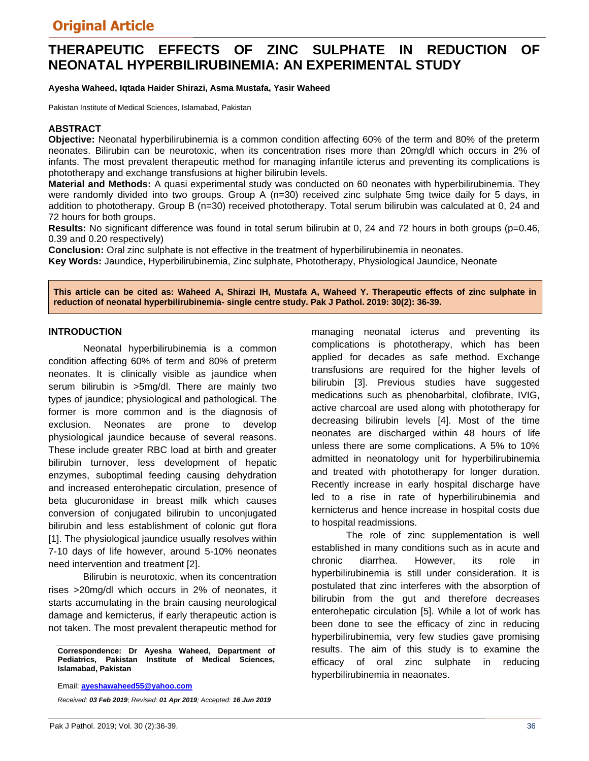# **THERAPEUTIC EFFECTS OF ZINC SULPHATE IN REDUCTION OF NEONATAL HYPERBILIRUBINEMIA: AN EXPERIMENTAL STUDY**

**Ayesha Waheed, Iqtada Haider Shirazi, Asma Mustafa, Yasir Waheed**

Pakistan Institute of Medical Sciences, Islamabad, Pakistan

## **ABSTRACT**

**Objective:** Neonatal hyperbilirubinemia is a common condition affecting 60% of the term and 80% of the preterm neonates. Bilirubin can be neurotoxic, when its concentration rises more than 20mg/dl which occurs in 2% of infants. The most prevalent therapeutic method for managing infantile icterus and preventing its complications is phototherapy and exchange transfusions at higher bilirubin levels.

**Material and Methods:** A quasi experimental study was conducted on 60 neonates with hyperbilirubinemia. They were randomly divided into two groups. Group A (n=30) received zinc sulphate 5mg twice daily for 5 days, in addition to phototherapy. Group B (n=30) received phototherapy. Total serum bilirubin was calculated at 0, 24 and 72 hours for both groups.

**Results:** No significant difference was found in total serum bilirubin at 0, 24 and 72 hours in both groups (p=0.46, 0.39 and 0.20 respectively)

**Conclusion:** Oral zinc sulphate is not effective in the treatment of hyperbilirubinemia in neonates. **Key Words:** Jaundice, Hyperbilirubinemia, Zinc sulphate, Phototherapy, Physiological Jaundice, Neonate

**This article can be cited as: Waheed A, Shirazi IH, Mustafa A, Waheed Y. Therapeutic effects of zinc sulphate in reduction of neonatal hyperbilirubinemia- single centre study. Pak J Pathol. 2019: 30(2): 36-39.**

#### **INTRODUCTION**

Neonatal hyperbilirubinemia is a common condition affecting 60% of term and 80% of preterm neonates. It is clinically visible as jaundice when serum bilirubin is >5mg/dl. There are mainly two types of jaundice; physiological and pathological. The former is more common and is the diagnosis of exclusion. Neonates are prone to develop physiological jaundice because of several reasons. These include greater RBC load at birth and greater bilirubin turnover, less development of hepatic enzymes, suboptimal feeding causing dehydration and increased enterohepatic circulation, presence of beta glucuronidase in breast milk which causes conversion of conjugated bilirubin to unconjugated bilirubin and less establishment of colonic gut flora [1]. The physiological jaundice usually resolves within 7-10 days of life however, around 5-10% neonates need intervention and treatment [2].

Bilirubin is neurotoxic, when its concentration rises >20mg/dl which occurs in 2% of neonates, it starts accumulating in the brain causing neurological damage and kernicterus, if early therapeutic action is not taken. The most prevalent therapeutic method for

**Correspondence: Dr Ayesha Waheed, Department of Pediatrics, Pakistan Institute of Medical Sciences, Islamabad, Pakistan** 

Email: **ayeshawaheed55@yahoo.com** 

*Received: 03 Feb 2019; Revised: 01 Apr 2019; Accepted: 16 Jun 2019*

managing neonatal icterus and preventing its complications is phototherapy, which has been applied for decades as safe method. Exchange transfusions are required for the higher levels of bilirubin [3]. Previous studies have suggested medications such as phenobarbital, clofibrate, IVIG, active charcoal are used along with phototherapy for decreasing bilirubin levels [4]. Most of the time neonates are discharged within 48 hours of life unless there are some complications. A 5% to 10% admitted in neonatology unit for hyperbilirubinemia and treated with phototherapy for longer duration. Recently increase in early hospital discharge have led to a rise in rate of hyperbilirubinemia and kernicterus and hence increase in hospital costs due to hospital readmissions.

The role of zinc supplementation is well established in many conditions such as in acute and chronic diarrhea. However, its role in hyperbilirubinemia is still under consideration. It is postulated that zinc interferes with the absorption of bilirubin from the gut and therefore decreases enterohepatic circulation [5]. While a lot of work has been done to see the efficacy of zinc in reducing hyperbilirubinemia, very few studies gave promising results. The aim of this study is to examine the efficacy of oral zinc sulphate in reducing hyperbilirubinemia in neaonates.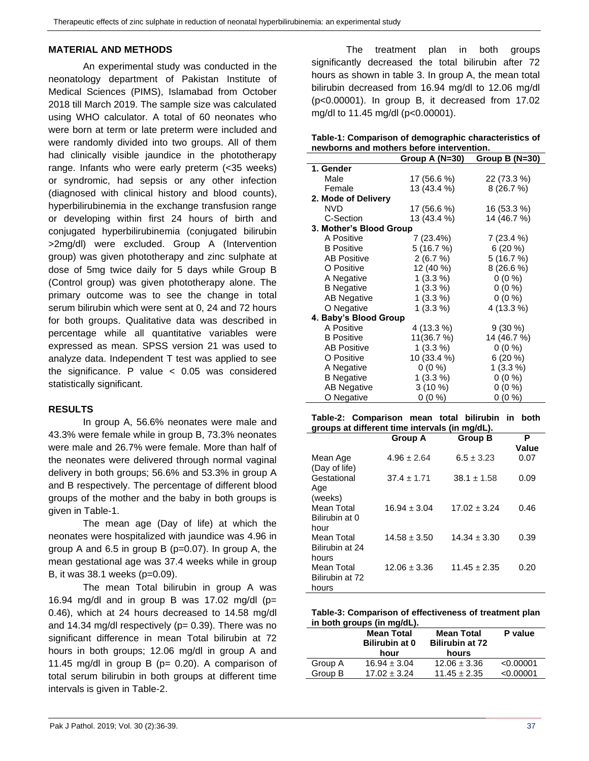### **MATERIAL AND METHODS**

An experimental study was conducted in the neonatology department of Pakistan Institute of Medical Sciences (PIMS), Islamabad from October 2018 till March 2019. The sample size was calculated using WHO calculator. A total of 60 neonates who were born at term or late preterm were included and were randomly divided into two groups. All of them had clinically visible jaundice in the phototherapy range. Infants who were early preterm (<35 weeks) or syndromic, had sepsis or any other infection (diagnosed with clinical history and blood counts), hyperbilirubinemia in the exchange transfusion range or developing within first 24 hours of birth and conjugated hyperbilirubinemia (conjugated bilirubin >2mg/dl) were excluded. Group A (Intervention group) was given phototherapy and zinc sulphate at dose of 5mg twice daily for 5 days while Group B (Control group) was given phototherapy alone. The primary outcome was to see the change in total serum bilirubin which were sent at 0, 24 and 72 hours for both groups. Qualitative data was described in percentage while all quantitative variables were expressed as mean. SPSS version 21 was used to analyze data. Independent T test was applied to see the significance. P value  $< 0.05$  was considered statistically significant.

### **RESULTS**

In group A, 56.6% neonates were male and 43.3% were female while in group B, 73.3% neonates were male and 26.7% were female. More than half of the neonates were delivered through normal vaginal delivery in both groups; 56.6% and 53.3% in group A and B respectively. The percentage of different blood groups of the mother and the baby in both groups is given in Table-1.

The mean age (Day of life) at which the neonates were hospitalized with jaundice was 4.96 in group A and 6.5 in group B (p=0.07). In group A, the mean gestational age was 37.4 weeks while in group B, it was 38.1 weeks (p=0.09).

The mean Total bilirubin in group A was 16.94 mg/dl and in group B was 17.02 mg/dl ( $p=$ 0.46), which at 24 hours decreased to 14.58 mg/dl and 14.34 mg/dl respectively ( $p= 0.39$ ). There was no significant difference in mean Total bilirubin at 72 hours in both groups; 12.06 mg/dl in group A and 11.45 mg/dl in group  $B$  (p= 0.20). A comparison of total serum bilirubin in both groups at different time intervals is given in Table-2.

The treatment plan in both groups significantly decreased the total bilirubin after 72 hours as shown in table 3. In group A, the mean total bilirubin decreased from 16.94 mg/dl to 12.06 mg/dl (p<0.00001). In group B, it decreased from 17.02 mg/dl to 11.45 mg/dl (p<0.00001).

| Table-1: Comparison of demographic characteristics of |
|-------------------------------------------------------|
| newborns and mothers before intervention.             |
|                                                       |

|                         | Group A (N=30) | Group B $(N=30)$ |
|-------------------------|----------------|------------------|
| 1. Gender               |                |                  |
| Male                    | 17 (56.6 %)    | 22 (73.3 %)      |
| Female                  | 13 (43.4 %)    | 8(26.7%)         |
| 2. Mode of Delivery     |                |                  |
| <b>NVD</b>              | 17 (56.6 %)    | 16 (53.3 %)      |
| C-Section               | 13 (43.4 %)    | 14 (46.7 %)      |
| 3. Mother's Blood Group |                |                  |
| A Positive              | 7 (23.4%)      | 7 (23.4 %)       |
| <b>B</b> Positive       | 5(16.7%)       | $6(20\%)$        |
| <b>AB Positive</b>      | 2(6.7%)        | 5(16.7%)         |
| O Positive              | 12 (40 %)      | 8(26.6%)         |
| A Negative              | $1(3.3\%)$     | $0(0\%)$         |
| <b>B</b> Negative       | $1(3.3\%)$     | $0(0\%)$         |
| <b>AB Negative</b>      | $1(3.3\%)$     | $0(0\%)$         |
| O Negative              | $1(3.3\%)$     | 4 (13.3 %)       |
| 4. Baby's Blood Group   |                |                  |
| A Positive              | 4 (13.3 %)     | $9(30\%)$        |
| <b>B</b> Positive       | 11(36.7 %)     | 14 (46.7 %)      |
| <b>AB Positive</b>      | $1(3.3\%)$     | $0(0\%)$         |
| O Positive              | 10 (33.4 %)    | 6(20%)           |
| A Negative              | $0(0\%)$       | $1(3.3\%)$       |
| <b>B</b> Negative       | $1(3.3\%)$     | $0(0\%)$         |
| <b>AB Negative</b>      | $3(10\%)$      | $0(0\%)$         |
| O Negative              | $0(0\%)$       | $0(0\%)$         |

**Table-2: Comparison mean total bilirubin in both groups at different time intervals (in mg/dL).**

|                                        | <b>Group A</b>   | <b>Group B</b>   | Р<br>Value |
|----------------------------------------|------------------|------------------|------------|
| Mean Age<br>(Day of life)              | $4.96 \pm 2.64$  | $6.5 \pm 3.23$   | 0.07       |
| Gestational<br>Age<br>(weeks)          | $37.4 \pm 1.71$  | $38.1 \pm 1.58$  | 0.09       |
| Mean Total<br>Bilirubin at 0<br>hour   | $16.94 \pm 3.04$ | $17.02 \pm 3.24$ | 0.46       |
| Mean Total<br>Bilirubin at 24<br>hours | $14.58 \pm 3.50$ | $14.34 \pm 3.30$ | 0.39       |
| Mean Total<br>Bilirubin at 72<br>hours | $12.06 \pm 3.36$ | $11.45 \pm 2.35$ | 0.20       |

| Table-3: Comparison of effectiveness of treatment plan |  |
|--------------------------------------------------------|--|
| in both groups (in mg/dL).                             |  |

|         | <b>Mean Total</b><br><b>Bilirubin at 0</b><br>hour | <b>Mean Total</b><br><b>Bilirubin at 72</b><br>hours | P value   |
|---------|----------------------------------------------------|------------------------------------------------------|-----------|
| Group A | $16.94 \pm 3.04$                                   | $12.06 \pm 3.36$                                     | < 0.00001 |
| Group B | $17.02 \pm 3.24$                                   | $11.45 \pm 2.35$                                     | < 0.00001 |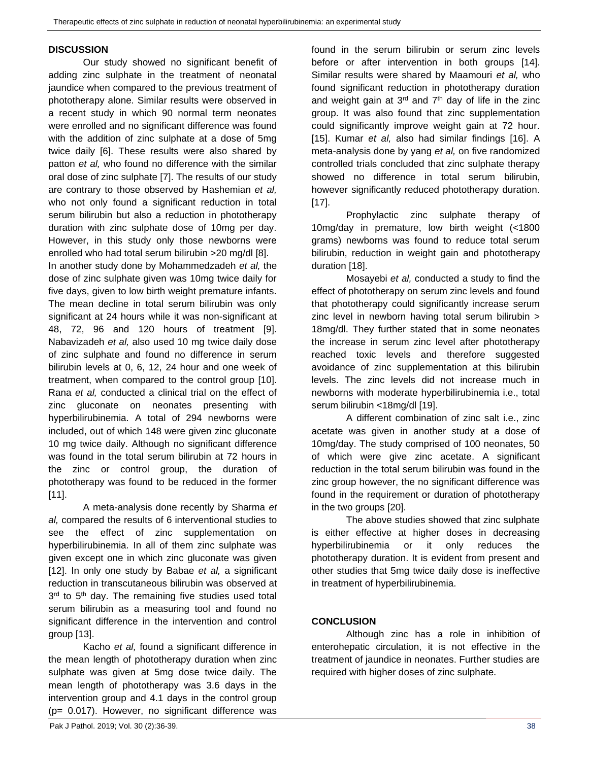## **DISCUSSION**

Our study showed no significant benefit of adding zinc sulphate in the treatment of neonatal jaundice when compared to the previous treatment of phototherapy alone. Similar results were observed in a recent study in which 90 normal term neonates were enrolled and no significant difference was found with the addition of zinc sulphate at a dose of 5mg twice daily [6]. These results were also shared by patton *et al,* who found no difference with the similar oral dose of zinc sulphate [7]. The results of our study are contrary to those observed by Hashemian *et al,* who not only found a significant reduction in total serum bilirubin but also a reduction in phototherapy duration with zinc sulphate dose of 10mg per day. However, in this study only those newborns were enrolled who had total serum bilirubin >20 mg/dl [8].

In another study done by Mohammedzadeh *et al,* the dose of zinc sulphate given was 10mg twice daily for five days, given to low birth weight premature infants. The mean decline in total serum bilirubin was only significant at 24 hours while it was non-significant at 48, 72, 96 and 120 hours of treatment [9]. Nabavizadeh *et al,* also used 10 mg twice daily dose of zinc sulphate and found no difference in serum bilirubin levels at 0, 6, 12, 24 hour and one week of treatment, when compared to the control group [10]. Rana *et al,* conducted a clinical trial on the effect of zinc gluconate on neonates presenting with hyperbilirubinemia. A total of 294 newborns were included, out of which 148 were given zinc gluconate 10 mg twice daily. Although no significant difference was found in the total serum bilirubin at 72 hours in the zinc or control group, the duration of phototherapy was found to be reduced in the former [11].

A meta-analysis done recently by Sharma *et al,* compared the results of 6 interventional studies to see the effect of zinc supplementation on hyperbilirubinemia. In all of them zinc sulphate was given except one in which zinc gluconate was given [12]. In only one study by Babae *et al,* a significant reduction in transcutaneous bilirubin was observed at 3<sup>rd</sup> to 5<sup>th</sup> day. The remaining five studies used total serum bilirubin as a measuring tool and found no significant difference in the intervention and control group [13].

Kacho *et al,* found a significant difference in the mean length of phototherapy duration when zinc sulphate was given at 5mg dose twice daily. The mean length of phototherapy was 3.6 days in the intervention group and 4.1 days in the control group (p= 0.017). However, no significant difference was

found in the serum bilirubin or serum zinc levels before or after intervention in both groups [14]. Similar results were shared by Maamouri *et al,* who found significant reduction in phototherapy duration and weight gain at  $3<sup>rd</sup>$  and  $7<sup>th</sup>$  day of life in the zinc group. It was also found that zinc supplementation could significantly improve weight gain at 72 hour. [15]. Kumar *et al,* also had similar findings [16]. A meta-analysis done by yang *et al,* on five randomized controlled trials concluded that zinc sulphate therapy showed no difference in total serum bilirubin, however significantly reduced phototherapy duration. [17].

Prophylactic zinc sulphate therapy of 10mg/day in premature, low birth weight (<1800 grams) newborns was found to reduce total serum bilirubin, reduction in weight gain and phototherapy duration [18].

Mosayebi *et al,* conducted a study to find the effect of phototherapy on serum zinc levels and found that phototherapy could significantly increase serum zinc level in newborn having total serum bilirubin > 18mg/dl. They further stated that in some neonates the increase in serum zinc level after phototherapy reached toxic levels and therefore suggested avoidance of zinc supplementation at this bilirubin levels. The zinc levels did not increase much in newborns with moderate hyperbilirubinemia i.e., total serum bilirubin <18mg/dl [19].

A different combination of zinc salt i.e., zinc acetate was given in another study at a dose of 10mg/day. The study comprised of 100 neonates, 50 of which were give zinc acetate. A significant reduction in the total serum bilirubin was found in the zinc group however, the no significant difference was found in the requirement or duration of phototherapy in the two groups [20].

The above studies showed that zinc sulphate is either effective at higher doses in decreasing hyperbilirubinemia or it only reduces the phototherapy duration. It is evident from present and other studies that 5mg twice daily dose is ineffective in treatment of hyperbilirubinemia.

## **CONCLUSION**

Although zinc has a role in inhibition of enterohepatic circulation, it is not effective in the treatment of jaundice in neonates. Further studies are required with higher doses of zinc sulphate.